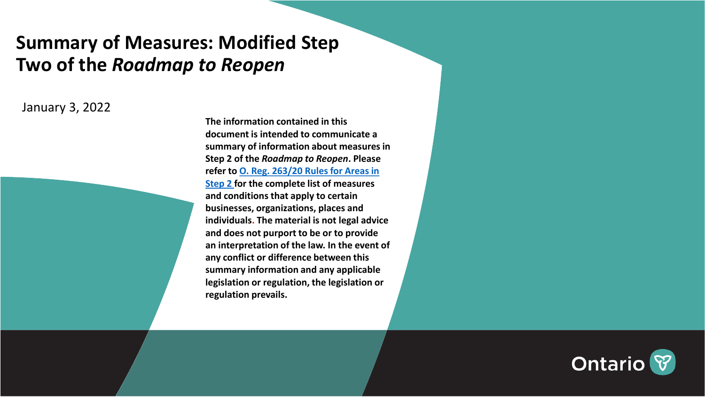### January 3, 2022

**regulation prevails.** 



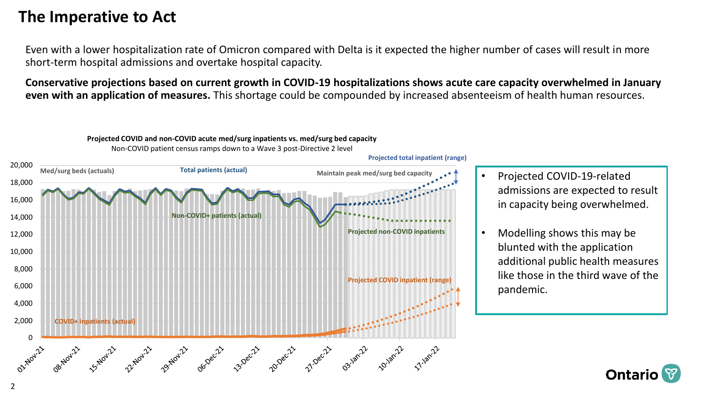### **The Imperative to Act**

Even with a lower hospitalization rate of Omicron compared with Delta is it expected the higher number of cases will result in more short-term hospital admissions and overtake hospital capacity.

**Conservative projections based on current growth in COVID-19 hospitalizations shows acute care capacity overwhelmed in January even with an application of measures.** This shortage could be compounded by increased absenteeism of health human resources.

#### **Projected COVID and non-COVID acute med/surg inpatients vs. med/surg bed capacity**



Non-COVID patient census ramps down to a Wave 3 post-Directive 2 level

### • Projected COVID-19-related admissions are expected to result in capacity being overwhelmed.

• Modelling shows this may be blunted with the application additional public health measures like those in the third wave of the pandemic.

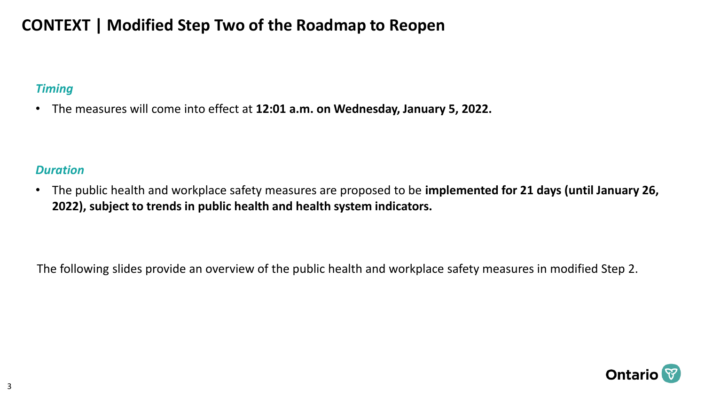### **CONTEXT | Modified Step Two of the Roadmap to Reopen**

### *Timing*

• The measures will come into effect at **12:01 a.m. on Wednesday, January 5, 2022.**

### *Duration*

• The public health and workplace safety measures are proposed to be **implemented for 21 days (until January 26, 2022), subject to trends in public health and health system indicators.** 

The following slides provide an overview of the public health and workplace safety measures in modified Step 2.

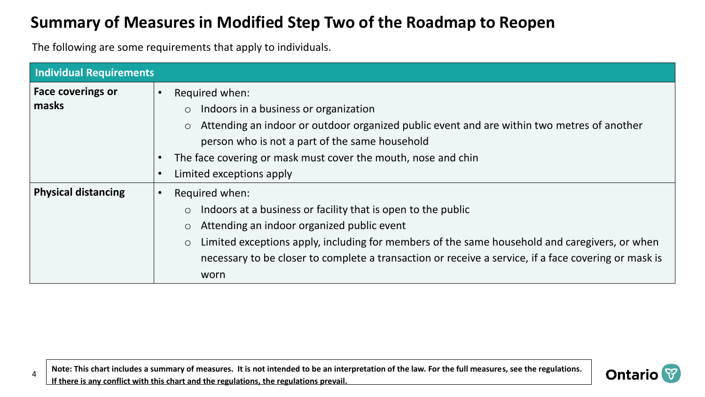The following are some requirements that apply to individuals.

4

| <b>Individual Requirements</b>    |  |                                                                                                                                                                                                                                                                                                                                                                                      |
|-----------------------------------|--|--------------------------------------------------------------------------------------------------------------------------------------------------------------------------------------------------------------------------------------------------------------------------------------------------------------------------------------------------------------------------------------|
| <b>Face coverings or</b><br>masks |  | Required when:<br>Indoors in a business or organization<br>$\circ$<br>Attending an indoor or outdoor organized public event and are within two metres of another<br>$\bigcirc$<br>person who is not a part of the same household<br>The face covering or mask must cover the mouth, nose and chin<br>Limited exceptions apply                                                        |
| <b>Physical distancing</b>        |  | Required when:<br>Indoors at a business or facility that is open to the public<br>$\bigcirc$<br>Attending an indoor organized public event<br>$\bigcirc$<br>Limited exceptions apply, including for members of the same household and caregivers, or when<br>$\circ$<br>necessary to be closer to complete a transaction or receive a service, if a face covering or mask is<br>worn |

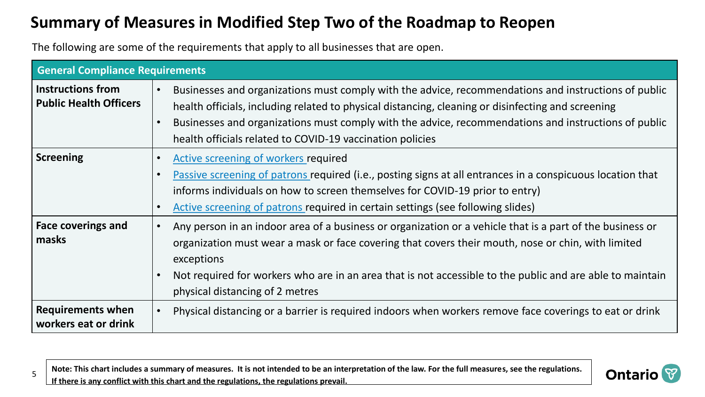The following are some of the requirements that apply to all businesses that are open.

5

| <b>General Compliance Requirements</b>                    |                                                                                                                                                                                                                                                                                                                                                                                 |
|-----------------------------------------------------------|---------------------------------------------------------------------------------------------------------------------------------------------------------------------------------------------------------------------------------------------------------------------------------------------------------------------------------------------------------------------------------|
| <b>Instructions from</b><br><b>Public Health Officers</b> | Businesses and organizations must comply with the advice, recommendations and instructions of public<br>health officials, including related to physical distancing, cleaning or disinfecting and screening<br>Businesses and organizations must comply with the advice, recommendations and instructions of public<br>health officials related to COVID-19 vaccination policies |
| <b>Screening</b>                                          | Active screening of workers required<br>Passive screening of patrons required (i.e., posting signs at all entrances in a conspicuous location that<br>informs individuals on how to screen themselves for COVID-19 prior to entry)<br>Active screening of patrons required in certain settings (see following slides)                                                           |
| <b>Face coverings and</b><br>masks                        | Any person in an indoor area of a business or organization or a vehicle that is a part of the business or<br>organization must wear a mask or face covering that covers their mouth, nose or chin, with limited<br>exceptions<br>Not required for workers who are in an area that is not accessible to the public and are able to maintain<br>physical distancing of 2 metres   |
| <b>Requirements when</b><br>workers eat or drink          | Physical distancing or a barrier is required indoors when workers remove face coverings to eat or drink                                                                                                                                                                                                                                                                         |

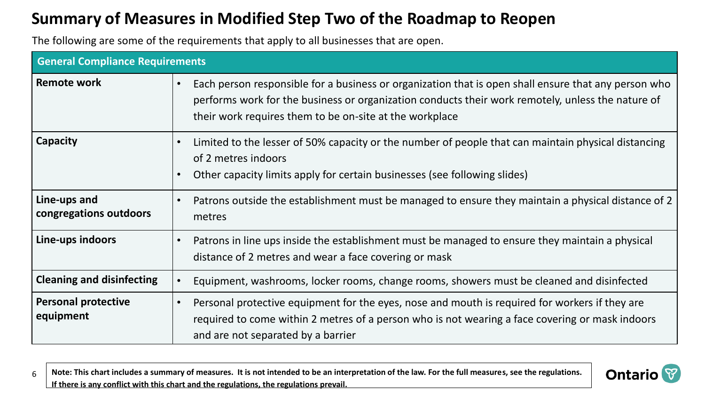The following are some of the requirements that apply to all businesses that are open.

| <b>General Compliance Requirements</b>  |                                                                                                                                                                                                                                                                      |
|-----------------------------------------|----------------------------------------------------------------------------------------------------------------------------------------------------------------------------------------------------------------------------------------------------------------------|
| <b>Remote work</b>                      | Each person responsible for a business or organization that is open shall ensure that any person who<br>performs work for the business or organization conducts their work remotely, unless the nature of<br>their work requires them to be on-site at the workplace |
| Capacity                                | Limited to the lesser of 50% capacity or the number of people that can maintain physical distancing<br>of 2 metres indoors<br>Other capacity limits apply for certain businesses (see following slides)                                                              |
| Line-ups and<br>congregations outdoors  | Patrons outside the establishment must be managed to ensure they maintain a physical distance of 2<br>metres                                                                                                                                                         |
| Line-ups indoors                        | Patrons in line ups inside the establishment must be managed to ensure they maintain a physical<br>distance of 2 metres and wear a face covering or mask                                                                                                             |
| <b>Cleaning and disinfecting</b>        | Equipment, washrooms, locker rooms, change rooms, showers must be cleaned and disinfected                                                                                                                                                                            |
| <b>Personal protective</b><br>equipment | Personal protective equipment for the eyes, nose and mouth is required for workers if they are<br>required to come within 2 metres of a person who is not wearing a face covering or mask indoors<br>and are not separated by a barrier                              |

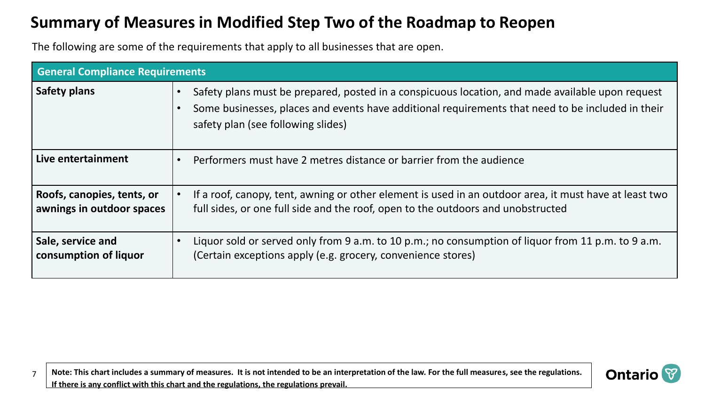The following are some of the requirements that apply to all businesses that are open.

| <b>General Compliance Requirements</b>                  |                                                                                                                                                                                                                                             |
|---------------------------------------------------------|---------------------------------------------------------------------------------------------------------------------------------------------------------------------------------------------------------------------------------------------|
| <b>Safety plans</b>                                     | Safety plans must be prepared, posted in a conspicuous location, and made available upon request<br>Some businesses, places and events have additional requirements that need to be included in their<br>safety plan (see following slides) |
| Live entertainment                                      | Performers must have 2 metres distance or barrier from the audience                                                                                                                                                                         |
| Roofs, canopies, tents, or<br>awnings in outdoor spaces | If a roof, canopy, tent, awning or other element is used in an outdoor area, it must have at least two<br>full sides, or one full side and the roof, open to the outdoors and unobstructed                                                  |
| Sale, service and<br>consumption of liquor              | Liquor sold or served only from 9 a.m. to 10 p.m.; no consumption of liquor from 11 p.m. to 9 a.m.<br>(Certain exceptions apply (e.g. grocery, convenience stores)                                                                          |

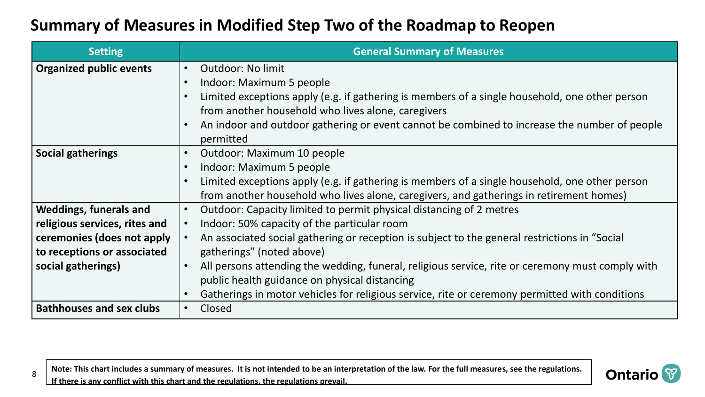| <b>Setting</b>                  | <b>General Summary of Measures</b>                                                               |
|---------------------------------|--------------------------------------------------------------------------------------------------|
| <b>Organized public events</b>  | <b>Outdoor: No limit</b><br>$\bullet$                                                            |
|                                 | Indoor: Maximum 5 people                                                                         |
|                                 | Limited exceptions apply (e.g. if gathering is members of a single household, one other person   |
|                                 | from another household who lives alone, caregivers                                               |
|                                 | An indoor and outdoor gathering or event cannot be combined to increase the number of people     |
|                                 | permitted                                                                                        |
| <b>Social gatherings</b>        | Outdoor: Maximum 10 people                                                                       |
|                                 | Indoor: Maximum 5 people                                                                         |
|                                 | Limited exceptions apply (e.g. if gathering is members of a single household, one other person   |
|                                 | from another household who lives alone, caregivers, and gatherings in retirement homes)          |
| <b>Weddings, funerals and</b>   | Outdoor: Capacity limited to permit physical distancing of 2 metres<br>$\bullet$                 |
| religious services, rites and   | Indoor: 50% capacity of the particular room                                                      |
| ceremonies (does not apply      | An associated social gathering or reception is subject to the general restrictions in "Social    |
| to receptions or associated     | gatherings" (noted above)                                                                        |
| social gatherings)              | All persons attending the wedding, funeral, religious service, rite or ceremony must comply with |
|                                 | public health guidance on physical distancing                                                    |
|                                 | Gatherings in motor vehicles for religious service, rite or ceremony permitted with conditions   |
| <b>Bathhouses and sex clubs</b> | Closed                                                                                           |

8

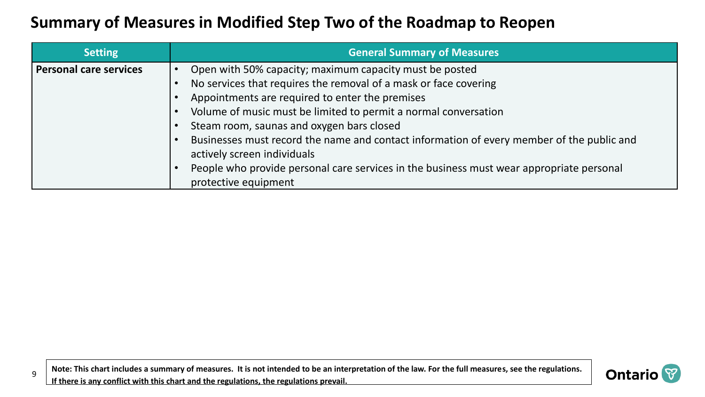| <b>Setting</b>                | <b>General Summary of Measures</b>                                                                                       |
|-------------------------------|--------------------------------------------------------------------------------------------------------------------------|
| <b>Personal care services</b> | Open with 50% capacity; maximum capacity must be posted                                                                  |
|                               | No services that requires the removal of a mask or face covering                                                         |
|                               | Appointments are required to enter the premises                                                                          |
|                               | Volume of music must be limited to permit a normal conversation                                                          |
|                               | Steam room, saunas and oxygen bars closed                                                                                |
|                               | Businesses must record the name and contact information of every member of the public and<br>actively screen individuals |
|                               | People who provide personal care services in the business must wear appropriate personal                                 |
|                               | protective equipment                                                                                                     |

9

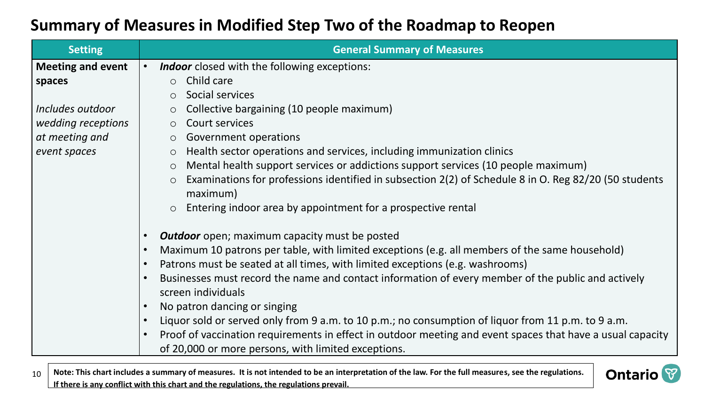| <b>Setting</b>           | <b>General Summary of Measures</b>                                                                                                    |
|--------------------------|---------------------------------------------------------------------------------------------------------------------------------------|
| <b>Meeting and event</b> | <b>Indoor</b> closed with the following exceptions:<br>$\bullet$                                                                      |
| spaces                   | Child care<br>$\circ$                                                                                                                 |
|                          | Social services<br>$\circ$                                                                                                            |
| Includes outdoor         | Collective bargaining (10 people maximum)<br>$\circ$                                                                                  |
| wedding receptions       | Court services<br>$\circ$                                                                                                             |
| at meeting and           | <b>Government operations</b><br>$\circ$                                                                                               |
| event spaces             | Health sector operations and services, including immunization clinics<br>$\circ$                                                      |
|                          | Mental health support services or addictions support services (10 people maximum)<br>$\circ$                                          |
|                          | Examinations for professions identified in subsection 2(2) of Schedule 8 in O. Reg 82/20 (50 students<br>$\circ$<br>maximum)          |
|                          | Entering indoor area by appointment for a prospective rental<br>$\circ$                                                               |
|                          | <b>Outdoor</b> open; maximum capacity must be posted<br>$\bullet$                                                                     |
|                          | Maximum 10 patrons per table, with limited exceptions (e.g. all members of the same household)<br>$\bullet$                           |
|                          | Patrons must be seated at all times, with limited exceptions (e.g. washrooms)<br>$\bullet$                                            |
|                          | Businesses must record the name and contact information of every member of the public and actively<br>$\bullet$<br>screen individuals |
|                          | No patron dancing or singing<br>$\bullet$                                                                                             |
|                          | Liquor sold or served only from 9 a.m. to 10 p.m.; no consumption of liquor from 11 p.m. to 9 a.m.<br>$\bullet$                       |
|                          | Proof of vaccination requirements in effect in outdoor meeting and event spaces that have a usual capacity<br>$\bullet$               |
|                          | of 20,000 or more persons, with limited exceptions.                                                                                   |
|                          |                                                                                                                                       |

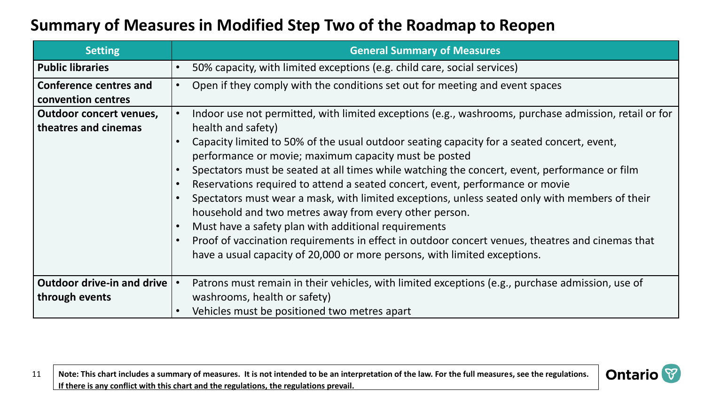| <b>Setting</b>                                         | <b>General Summary of Measures</b>                                                                                                                                                                                                                                                                                                                                                                                                                                                                                                                                                                                                                                                                                                                                                                                                                                        |
|--------------------------------------------------------|---------------------------------------------------------------------------------------------------------------------------------------------------------------------------------------------------------------------------------------------------------------------------------------------------------------------------------------------------------------------------------------------------------------------------------------------------------------------------------------------------------------------------------------------------------------------------------------------------------------------------------------------------------------------------------------------------------------------------------------------------------------------------------------------------------------------------------------------------------------------------|
| <b>Public libraries</b>                                | 50% capacity, with limited exceptions (e.g. child care, social services)                                                                                                                                                                                                                                                                                                                                                                                                                                                                                                                                                                                                                                                                                                                                                                                                  |
| <b>Conference centres and</b><br>convention centres    | Open if they comply with the conditions set out for meeting and event spaces                                                                                                                                                                                                                                                                                                                                                                                                                                                                                                                                                                                                                                                                                                                                                                                              |
| <b>Outdoor concert venues,</b><br>theatres and cinemas | Indoor use not permitted, with limited exceptions (e.g., washrooms, purchase admission, retail or for<br>health and safety)<br>Capacity limited to 50% of the usual outdoor seating capacity for a seated concert, event,<br>performance or movie; maximum capacity must be posted<br>Spectators must be seated at all times while watching the concert, event, performance or film<br>Reservations required to attend a seated concert, event, performance or movie<br>Spectators must wear a mask, with limited exceptions, unless seated only with members of their<br>household and two metres away from every other person.<br>Must have a safety plan with additional requirements<br>Proof of vaccination requirements in effect in outdoor concert venues, theatres and cinemas that<br>have a usual capacity of 20,000 or more persons, with limited exceptions. |
| <b>Outdoor drive-in and drive</b><br>through events    | Patrons must remain in their vehicles, with limited exceptions (e.g., purchase admission, use of<br>washrooms, health or safety)<br>Vehicles must be positioned two metres apart                                                                                                                                                                                                                                                                                                                                                                                                                                                                                                                                                                                                                                                                                          |

Ontario<sup>8</sup>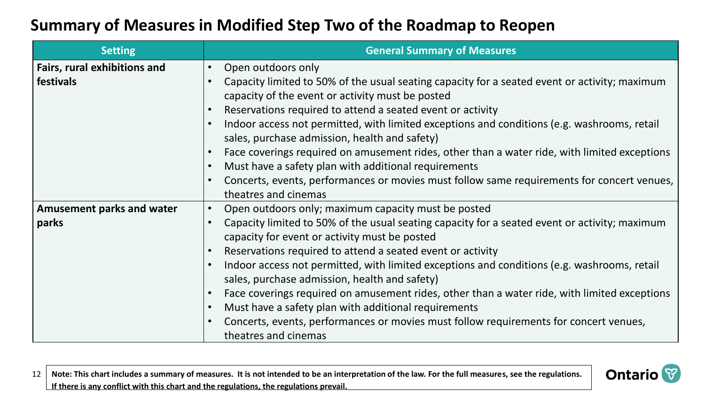| <b>Setting</b>                            | <b>General Summary of Measures</b>                                                                                                                                                                                                                                                                                                                                                                                                                                                                                                                                                                                                                                                                                                                                                    |
|-------------------------------------------|---------------------------------------------------------------------------------------------------------------------------------------------------------------------------------------------------------------------------------------------------------------------------------------------------------------------------------------------------------------------------------------------------------------------------------------------------------------------------------------------------------------------------------------------------------------------------------------------------------------------------------------------------------------------------------------------------------------------------------------------------------------------------------------|
| Fairs, rural exhibitions and<br>festivals | Open outdoors only<br>$\bullet$<br>Capacity limited to 50% of the usual seating capacity for a seated event or activity; maximum<br>$\bullet$<br>capacity of the event or activity must be posted<br>Reservations required to attend a seated event or activity<br>Indoor access not permitted, with limited exceptions and conditions (e.g. washrooms, retail<br>$\bullet$<br>sales, purchase admission, health and safety)<br>Face coverings required on amusement rides, other than a water ride, with limited exceptions<br>Must have a safety plan with additional requirements<br>Concerts, events, performances or movies must follow same requirements for concert venues,<br>$\bullet$                                                                                       |
| <b>Amusement parks and water</b><br>parks | theatres and cinemas<br>Open outdoors only; maximum capacity must be posted<br>$\bullet$<br>Capacity limited to 50% of the usual seating capacity for a seated event or activity; maximum<br>$\bullet$<br>capacity for event or activity must be posted<br>Reservations required to attend a seated event or activity<br>$\bullet$<br>Indoor access not permitted, with limited exceptions and conditions (e.g. washrooms, retail<br>$\bullet$<br>sales, purchase admission, health and safety)<br>Face coverings required on amusement rides, other than a water ride, with limited exceptions<br>Must have a safety plan with additional requirements<br>$\bullet$<br>Concerts, events, performances or movies must follow requirements for concert venues,<br>theatres and cinemas |

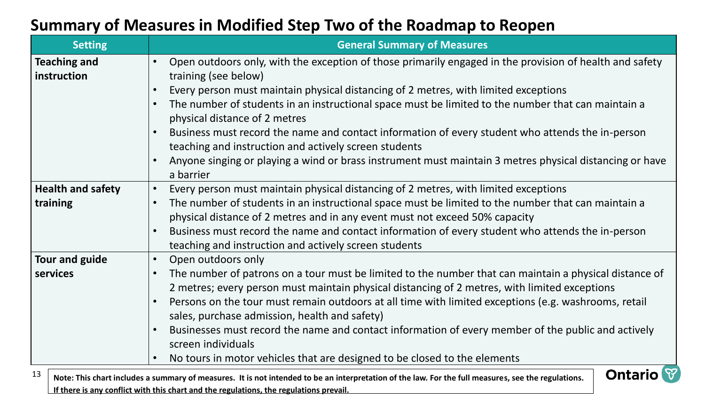#### 13 **Setting General Summary of Measures Teaching and instruction** • Open outdoors only, with the exception of those primarily engaged in the provision of health and safety training (see below) • Every person must maintain physical distancing of 2 metres, with limited exceptions • The number of students in an instructional space must be limited to the number that can maintain a physical distance of 2 metres • Business must record the name and contact information of every student who attends the in-person teaching and instruction and actively screen students • Anyone singing or playing a wind or brass instrument must maintain 3 metres physical distancing or have a barrier **Health and safety training** • Every person must maintain physical distancing of 2 metres, with limited exceptions • The number of students in an instructional space must be limited to the number that can maintain a physical distance of 2 metres and in any event must not exceed 50% capacity • Business must record the name and contact information of every student who attends the in-person teaching and instruction and actively screen students **Tour and guide services** • Open outdoors only • The number of patrons on a tour must be limited to the number that can maintain a physical distance of 2 metres; every person must maintain physical distancing of 2 metres, with limited exceptions • Persons on the tour must remain outdoors at all time with limited exceptions (e.g. washrooms, retail sales, purchase admission, health and safety) • Businesses must record the name and contact information of every member of the public and actively screen individuals • No tours in motor vehicles that are designed to be closed to the elements

### **Summary of Measures in Modified Step Two of the Roadmap to Reopen**

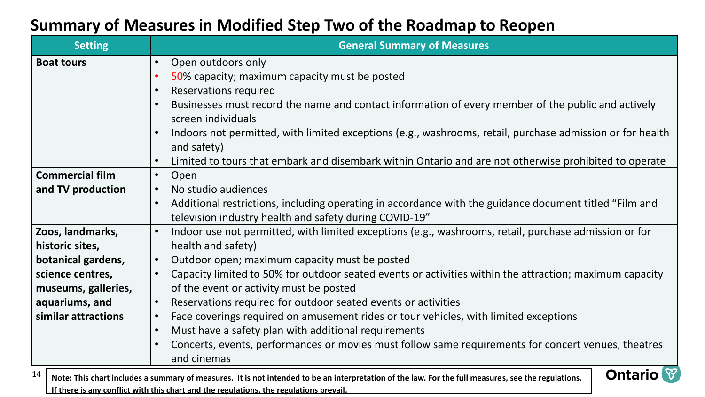#### **Setting General Summary of Measures Boat tours •** Open outdoors only • 50% capacity; maximum capacity must be posted • Reservations required • Businesses must record the name and contact information of every member of the public and actively screen individuals • Indoors not permitted, with limited exceptions (e.g., washrooms, retail, purchase admission or for health and safety) • Limited to tours that embark and disembark within Ontario and are not otherwise prohibited to operate **Commercial film**  • Open **and TV production** • No studio audiences • Additional restrictions, including operating in accordance with the guidance document titled "Film and television industry health and safety during COVID-19" • Indoor use not permitted, with limited exceptions (e.g., washrooms, retail, purchase admission or for **Zoos, landmarks, historic sites,**  health and safety) **botanical gardens,**  • Outdoor open; maximum capacity must be posted **science centres,**  • Capacity limited to 50% for outdoor seated events or activities within the attraction; maximum capacity of the event or activity must be posted **museums, galleries, aquariums, and**  • Reservations required for outdoor seated events or activities **similar attractions** • Face coverings required on amusement rides or tour vehicles, with limited exceptions • Must have a safety plan with additional requirements • Concerts, events, performances or movies must follow same requirements for concert venues, theatres and cinemas Ontario

**Summary of Measures in Modified Step Two of the Roadmap to Reopen**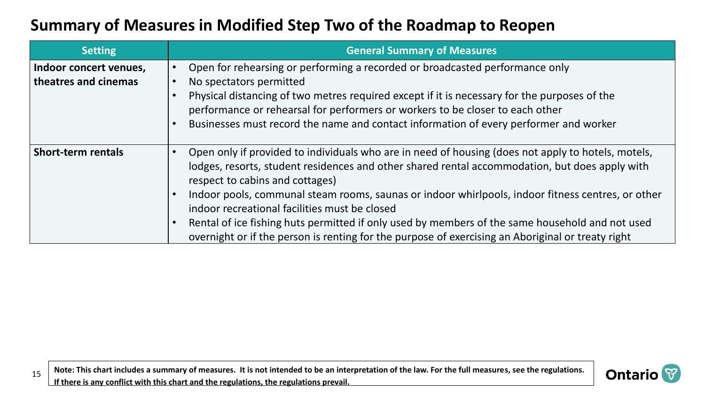| <b>Setting</b>                                 | <b>General Summary of Measures</b>                                                                                                                                                                                                      |
|------------------------------------------------|-----------------------------------------------------------------------------------------------------------------------------------------------------------------------------------------------------------------------------------------|
| Indoor concert venues,<br>theatres and cinemas | Open for rehearsing or performing a recorded or broadcasted performance only<br>No spectators permitted                                                                                                                                 |
|                                                | Physical distancing of two metres required except if it is necessary for the purposes of the<br>performance or rehearsal for performers or workers to be closer to each other                                                           |
|                                                | Businesses must record the name and contact information of every performer and worker                                                                                                                                                   |
| <b>Short-term rentals</b>                      | Open only if provided to individuals who are in need of housing (does not apply to hotels, motels,<br>lodges, resorts, student residences and other shared rental accommodation, but does apply with<br>respect to cabins and cottages) |
|                                                | Indoor pools, communal steam rooms, saunas or indoor whirlpools, indoor fitness centres, or other<br>indoor recreational facilities must be closed                                                                                      |
|                                                | Rental of ice fishing huts permitted if only used by members of the same household and not used<br>overnight or if the person is renting for the purpose of exercising an Aboriginal or treaty right                                    |

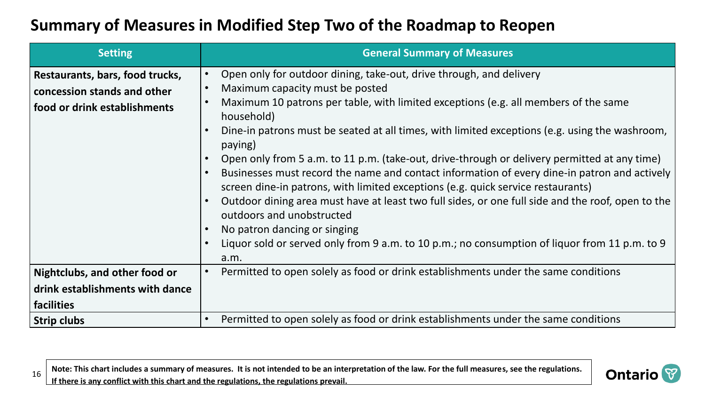| <b>Setting</b>                                                                                 | <b>General Summary of Measures</b>                                                                                                                                                                                                                                                                                                                                                                                                                                                                                                                                                                                                                                                                                                                                                                                                                                                                                                                       |
|------------------------------------------------------------------------------------------------|----------------------------------------------------------------------------------------------------------------------------------------------------------------------------------------------------------------------------------------------------------------------------------------------------------------------------------------------------------------------------------------------------------------------------------------------------------------------------------------------------------------------------------------------------------------------------------------------------------------------------------------------------------------------------------------------------------------------------------------------------------------------------------------------------------------------------------------------------------------------------------------------------------------------------------------------------------|
| Restaurants, bars, food trucks,<br>concession stands and other<br>food or drink establishments | Open only for outdoor dining, take-out, drive through, and delivery<br>$\bullet$<br>Maximum capacity must be posted<br>$\bullet$<br>Maximum 10 patrons per table, with limited exceptions (e.g. all members of the same<br>$\bullet$<br>household)<br>Dine-in patrons must be seated at all times, with limited exceptions (e.g. using the washroom,<br>paying)<br>Open only from 5 a.m. to 11 p.m. (take-out, drive-through or delivery permitted at any time)<br>Businesses must record the name and contact information of every dine-in patron and actively<br>$\bullet$<br>screen dine-in patrons, with limited exceptions (e.g. quick service restaurants)<br>Outdoor dining area must have at least two full sides, or one full side and the roof, open to the<br>outdoors and unobstructed<br>No patron dancing or singing<br>Liquor sold or served only from 9 a.m. to 10 p.m.; no consumption of liquor from 11 p.m. to 9<br>$\bullet$<br>a.m. |
| Nightclubs, and other food or                                                                  | Permitted to open solely as food or drink establishments under the same conditions<br>$\bullet$                                                                                                                                                                                                                                                                                                                                                                                                                                                                                                                                                                                                                                                                                                                                                                                                                                                          |
| drink establishments with dance                                                                |                                                                                                                                                                                                                                                                                                                                                                                                                                                                                                                                                                                                                                                                                                                                                                                                                                                                                                                                                          |
| facilities                                                                                     |                                                                                                                                                                                                                                                                                                                                                                                                                                                                                                                                                                                                                                                                                                                                                                                                                                                                                                                                                          |
| <b>Strip clubs</b>                                                                             | Permitted to open solely as food or drink establishments under the same conditions<br>$\bullet$                                                                                                                                                                                                                                                                                                                                                                                                                                                                                                                                                                                                                                                                                                                                                                                                                                                          |

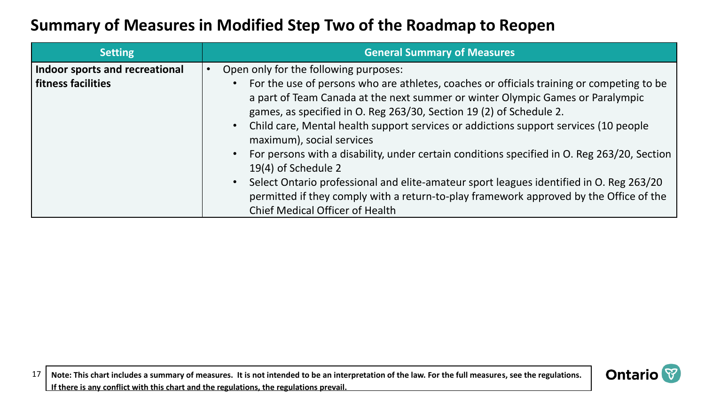| <b>Setting</b>                 | <b>General Summary of Measures</b>                                                                                                                                                                                                                                                                                                                                                                                                                                                                                                                                                                                                                                                                                                                                  |
|--------------------------------|---------------------------------------------------------------------------------------------------------------------------------------------------------------------------------------------------------------------------------------------------------------------------------------------------------------------------------------------------------------------------------------------------------------------------------------------------------------------------------------------------------------------------------------------------------------------------------------------------------------------------------------------------------------------------------------------------------------------------------------------------------------------|
| Indoor sports and recreational | Open only for the following purposes:                                                                                                                                                                                                                                                                                                                                                                                                                                                                                                                                                                                                                                                                                                                               |
| fitness facilities             | For the use of persons who are athletes, coaches or officials training or competing to be<br>a part of Team Canada at the next summer or winter Olympic Games or Paralympic<br>games, as specified in O. Reg 263/30, Section 19 (2) of Schedule 2.<br>Child care, Mental health support services or addictions support services (10 people<br>$\bullet$<br>maximum), social services<br>For persons with a disability, under certain conditions specified in O. Reg 263/20, Section<br>$\bullet$<br>19(4) of Schedule 2<br>Select Ontario professional and elite-amateur sport leagues identified in O. Reg 263/20<br>$\bullet$<br>permitted if they comply with a return-to-play framework approved by the Office of the<br><b>Chief Medical Officer of Health</b> |

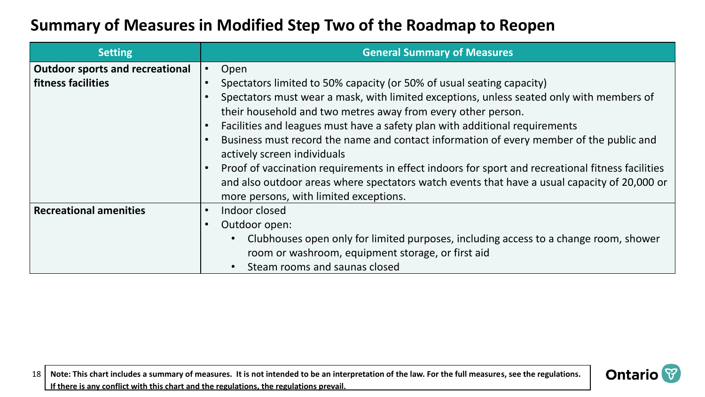| <b>Setting</b>                         | <b>General Summary of Measures</b>                                                                                                                                                                                                                       |
|----------------------------------------|----------------------------------------------------------------------------------------------------------------------------------------------------------------------------------------------------------------------------------------------------------|
| <b>Outdoor sports and recreational</b> | Open                                                                                                                                                                                                                                                     |
| fitness facilities                     | Spectators limited to 50% capacity (or 50% of usual seating capacity)                                                                                                                                                                                    |
|                                        | Spectators must wear a mask, with limited exceptions, unless seated only with members of                                                                                                                                                                 |
|                                        | their household and two metres away from every other person.                                                                                                                                                                                             |
|                                        | Facilities and leagues must have a safety plan with additional requirements                                                                                                                                                                              |
|                                        | Business must record the name and contact information of every member of the public and<br>$\bullet$<br>actively screen individuals                                                                                                                      |
|                                        | Proof of vaccination requirements in effect indoors for sport and recreational fitness facilities<br>$\bullet$<br>and also outdoor areas where spectators watch events that have a usual capacity of 20,000 or<br>more persons, with limited exceptions. |
| <b>Recreational amenities</b>          | Indoor closed<br>$\bullet$                                                                                                                                                                                                                               |
|                                        | Outdoor open:                                                                                                                                                                                                                                            |
|                                        | Clubhouses open only for limited purposes, including access to a change room, shower<br>$\bullet$                                                                                                                                                        |
|                                        | room or washroom, equipment storage, or first aid                                                                                                                                                                                                        |
|                                        | Steam rooms and saunas closed<br>$\bullet$                                                                                                                                                                                                               |

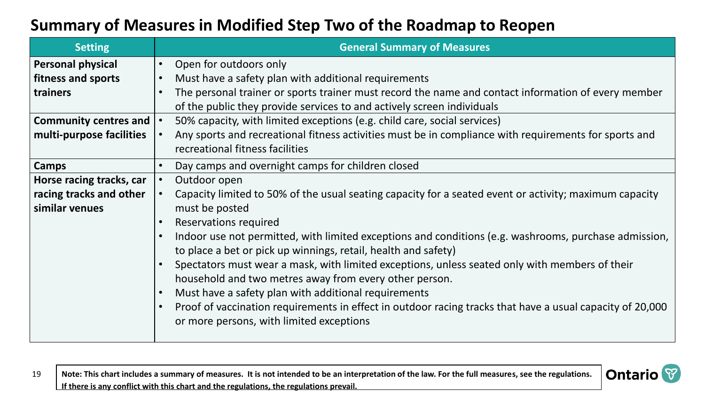| <b>Setting</b>               | <b>General Summary of Measures</b>                                                                                                                       |
|------------------------------|----------------------------------------------------------------------------------------------------------------------------------------------------------|
| <b>Personal physical</b>     | Open for outdoors only<br>$\bullet$                                                                                                                      |
| fitness and sports           | Must have a safety plan with additional requirements                                                                                                     |
| trainers                     | The personal trainer or sports trainer must record the name and contact information of every member                                                      |
|                              | of the public they provide services to and actively screen individuals                                                                                   |
| <b>Community centres and</b> | 50% capacity, with limited exceptions (e.g. child care, social services)                                                                                 |
| multi-purpose facilities     | Any sports and recreational fitness activities must be in compliance with requirements for sports and                                                    |
|                              | recreational fitness facilities                                                                                                                          |
| Camps                        | Day camps and overnight camps for children closed                                                                                                        |
| Horse racing tracks, car     | Outdoor open<br>$\bullet$                                                                                                                                |
| racing tracks and other      | Capacity limited to 50% of the usual seating capacity for a seated event or activity; maximum capacity                                                   |
| similar venues               | must be posted                                                                                                                                           |
|                              | Reservations required                                                                                                                                    |
|                              | Indoor use not permitted, with limited exceptions and conditions (e.g. washrooms, purchase admission,                                                    |
|                              | to place a bet or pick up winnings, retail, health and safety)<br>$\bullet$                                                                              |
|                              | Spectators must wear a mask, with limited exceptions, unless seated only with members of their<br>household and two metres away from every other person. |
|                              | Must have a safety plan with additional requirements                                                                                                     |
|                              | Proof of vaccination requirements in effect in outdoor racing tracks that have a usual capacity of 20,000<br>$\bullet$                                   |
|                              | or more persons, with limited exceptions                                                                                                                 |
|                              |                                                                                                                                                          |

19 **Note: This chart includes a summary of measures. It is not intended to be an interpretation of the law. For the full measures, see the regulations. If there is any conflict with this chart and the regulations, the regulations prevail.** 

**Ontario** V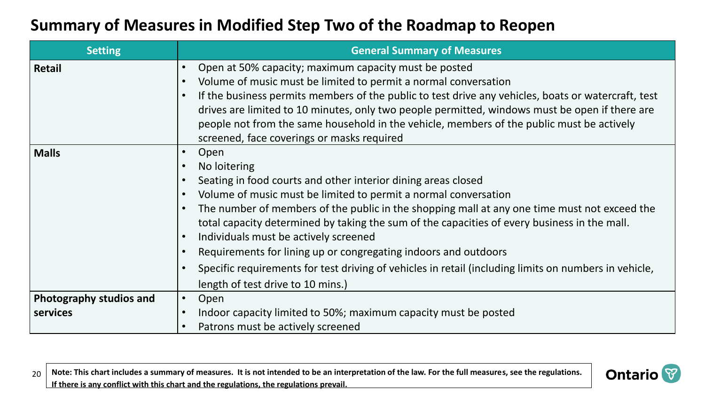| <b>Setting</b>                 | <b>General Summary of Measures</b>                                                                    |
|--------------------------------|-------------------------------------------------------------------------------------------------------|
| Retail                         | Open at 50% capacity; maximum capacity must be posted                                                 |
|                                | Volume of music must be limited to permit a normal conversation                                       |
|                                | If the business permits members of the public to test drive any vehicles, boats or watercraft, test   |
|                                | drives are limited to 10 minutes, only two people permitted, windows must be open if there are        |
|                                | people not from the same household in the vehicle, members of the public must be actively             |
|                                | screened, face coverings or masks required                                                            |
| Malls                          | Open                                                                                                  |
|                                | No loitering                                                                                          |
|                                | Seating in food courts and other interior dining areas closed                                         |
|                                | Volume of music must be limited to permit a normal conversation                                       |
|                                | The number of members of the public in the shopping mall at any one time must not exceed the          |
|                                | total capacity determined by taking the sum of the capacities of every business in the mall.          |
|                                | Individuals must be actively screened                                                                 |
|                                | Requirements for lining up or congregating indoors and outdoors                                       |
|                                | Specific requirements for test driving of vehicles in retail (including limits on numbers in vehicle, |
|                                | length of test drive to 10 mins.)                                                                     |
| <b>Photography studios and</b> | Open                                                                                                  |
| services                       | Indoor capacity limited to 50%; maximum capacity must be posted                                       |
|                                | Patrons must be actively screened                                                                     |

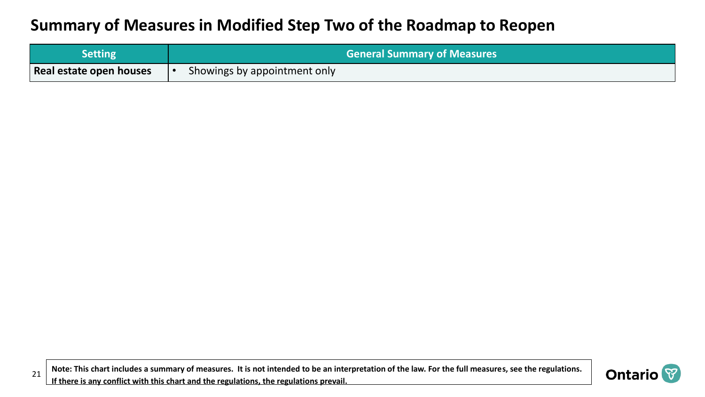| <b>Setting</b>          | <b>General Summary of Measures</b> |
|-------------------------|------------------------------------|
| Real estate open houses | Showings by appointment only       |

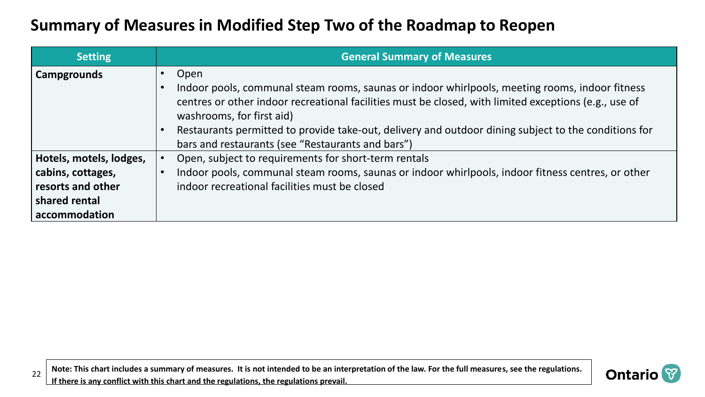| <b>Setting</b>                                                                                      | <b>General Summary of Measures</b>                                                                                                                                                                                                                                                                                                                                                                        |
|-----------------------------------------------------------------------------------------------------|-----------------------------------------------------------------------------------------------------------------------------------------------------------------------------------------------------------------------------------------------------------------------------------------------------------------------------------------------------------------------------------------------------------|
| <b>Campgrounds</b>                                                                                  | Open<br>Indoor pools, communal steam rooms, saunas or indoor whirlpools, meeting rooms, indoor fitness<br>centres or other indoor recreational facilities must be closed, with limited exceptions (e.g., use of<br>washrooms, for first aid)<br>Restaurants permitted to provide take-out, delivery and outdoor dining subject to the conditions for<br>bars and restaurants (see "Restaurants and bars") |
| Hotels, motels, lodges,<br>cabins, cottages,<br>resorts and other<br>shared rental<br>accommodation | Open, subject to requirements for short-term rentals<br>Indoor pools, communal steam rooms, saunas or indoor whirlpools, indoor fitness centres, or other<br>indoor recreational facilities must be closed                                                                                                                                                                                                |

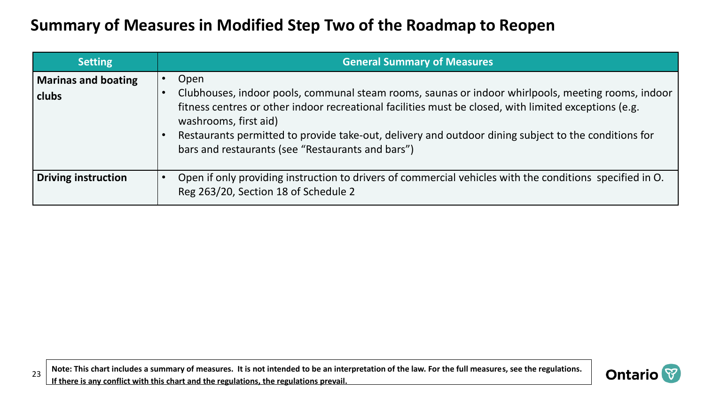| <b>Setting</b>               | <b>General Summary of Measures</b>                                                                                                                                                                                                                                                                                                                                                                        |
|------------------------------|-----------------------------------------------------------------------------------------------------------------------------------------------------------------------------------------------------------------------------------------------------------------------------------------------------------------------------------------------------------------------------------------------------------|
| Marinas and boating<br>clubs | Open<br>Clubhouses, indoor pools, communal steam rooms, saunas or indoor whirlpools, meeting rooms, indoor<br>fitness centres or other indoor recreational facilities must be closed, with limited exceptions (e.g.<br>washrooms, first aid)<br>Restaurants permitted to provide take-out, delivery and outdoor dining subject to the conditions for<br>bars and restaurants (see "Restaurants and bars") |
| Driving instruction          | Open if only providing instruction to drivers of commercial vehicles with the conditions specified in O.<br>Reg 263/20, Section 18 of Schedule 2                                                                                                                                                                                                                                                          |

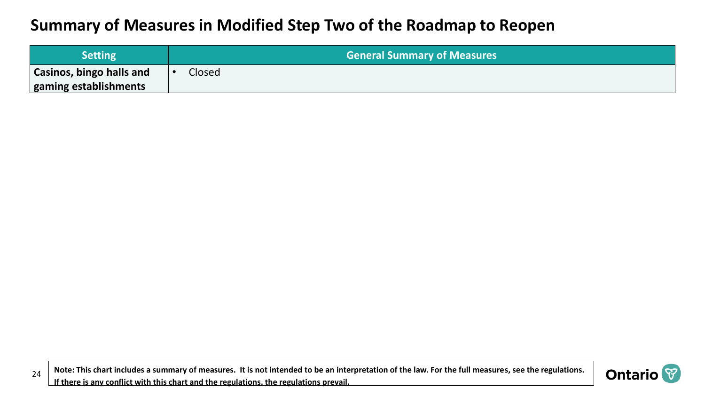| <b>Setting</b>                  | <b>General Summary of Measures</b> |
|---------------------------------|------------------------------------|
| <b>Casinos, bingo halls and</b> | Closed                             |
| gaming establishments           |                                    |

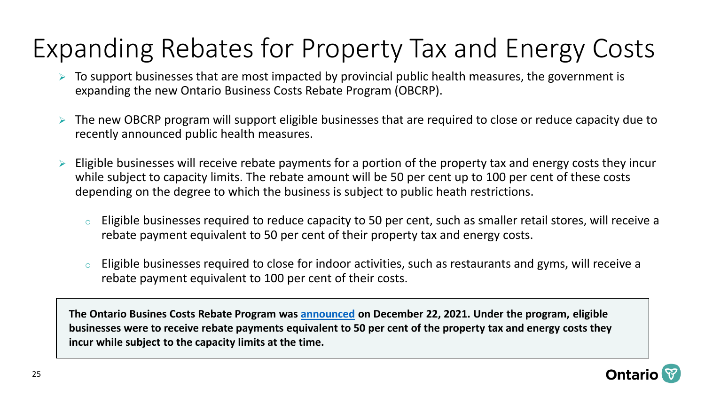# Expanding Rebates for Property Tax and Energy Costs

- ➢ To support businesses that are most impacted by provincial public health measures, the government is expanding the new Ontario Business Costs Rebate Program (OBCRP).
- ➢ The new OBCRP program will support eligible businesses that are required to close or reduce capacity due to recently announced public health measures.
- ➢ Eligible businesses will receive rebate payments for a portion of the property tax and energy costs they incur while subject to capacity limits. The rebate amount will be 50 per cent up to 100 per cent of these costs depending on the degree to which the business is subject to public heath restrictions.
	- $\circ$  Eligible businesses required to reduce capacity to 50 per cent, such as smaller retail stores, will receive a rebate payment equivalent to 50 per cent of their property tax and energy costs.
	- $\circ$  Eligible businesses required to close for indoor activities, such as restaurants and gyms, will receive a rebate payment equivalent to 100 per cent of their costs.

**The Ontario Busines Costs Rebate Program was [announced](https://news.ontario.ca/en/release/1001372/ontario-launches-new-supports-for-businesses) on December 22, 2021. Under the program, eligible businesses were to receive rebate payments equivalent to 50 per cent of the property tax and energy costs they incur while subject to the capacity limits at the time.**

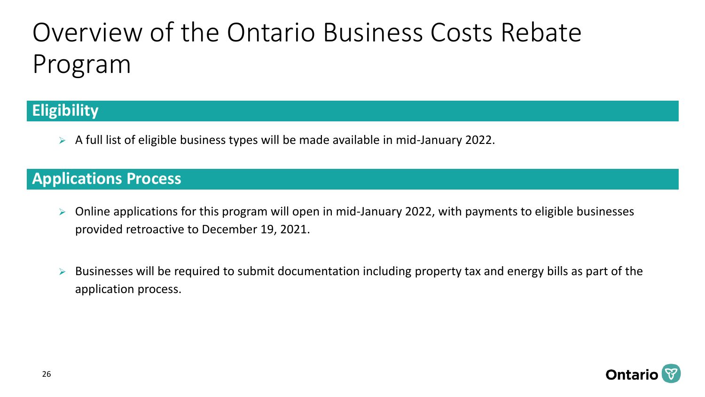# Overview of the Ontario Business Costs Rebate Program

## **Eligibility**

 $\triangleright$  A full list of eligible business types will be made available in mid-January 2022.

### **Applications Process**

- ➢ Online applications for this program will open in mid-January 2022, with payments to eligible businesses provided retroactive to December 19, 2021.
- $\triangleright$  Businesses will be required to submit documentation including property tax and energy bills as part of the application process.